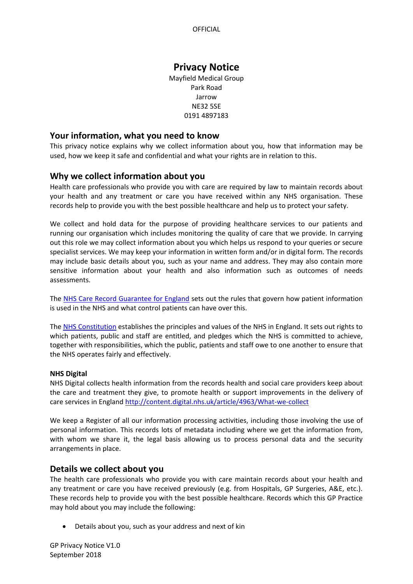# **Privacy Notice**

Mayfield Medical Group Park Road Jarrow NE32 5SE 0191 4897183

## **Your information, what you need to know**

This privacy notice explains why we collect information about you, how that information may be used, how we keep it safe and confidential and what your rights are in relation to this.

# **Why we collect information about you**

Health care professionals who provide you with care are required by law to maintain records about your health and any treatment or care you have received within any NHS organisation. These records help to provide you with the best possible healthcare and help us to protect your safety.

We collect and hold data for the purpose of providing healthcare services to our patients and running our organisation which includes monitoring the quality of care that we provide. In carrying out this role we may collect information about you which helps us respond to your queries or secure specialist services. We may keep your information in written form and/or in digital form. The records may include basic details about you, such as your name and address. They may also contain more sensitive information about your health and also information such as outcomes of needs assessments.

The [NHS Care Record Guarantee for England](https://www.google.co.uk/url?sa=t&rct=j&q=&esrc=s&source=web&cd=3&ved=0ahUKEwi1_Jm48ZzWAhUqJsAKHZg-BL8QFggwMAI&url=https%3A%2F%2Fdigital.nhs.uk%2Fmedia%2F329%2FCare-Record-Guarantee%2Fpdf%2FCare_Record_Guarantee&usg=AFQjCNEbFAMeKQHprjDHGtgl0lpYi8smDg) sets out the rules that govern how patient information is used in the NHS and what control patients can have over this.

The [NHS Constitution](https://www.gov.uk/government/publications/the-nhs-constitution-for-england) establishes the principles and values of the NHS in England. It sets out rights to which patients, public and staff are entitled, and pledges which the NHS is committed to achieve, together with responsibilities, which the public, patients and staff owe to one another to ensure that the NHS operates fairly and effectively.

## **NHS Digital**

NHS Digital collects health information from the records health and social care providers keep about the care and treatment they give, to promote health or support improvements in the delivery of care services in England <http://content.digital.nhs.uk/article/4963/What-we-collect>

We keep a Register of all our information processing activities, including those involving the use of personal information. This records lots of metadata including where we get the information from, with whom we share it, the legal basis allowing us to process personal data and the security arrangements in place.

# **Details we collect about you**

The health care professionals who provide you with care maintain records about your health and any treatment or care you have received previously (e.g. from Hospitals, GP Surgeries, A&E, etc.). These records help to provide you with the best possible healthcare. Records which this GP Practice may hold about you may include the following:

• Details about you, such as your address and next of kin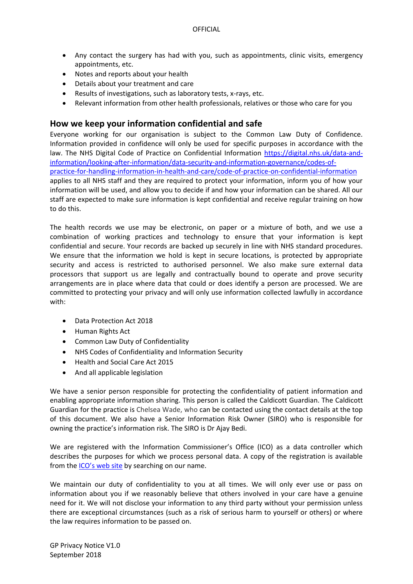- Any contact the surgery has had with you, such as appointments, clinic visits, emergency appointments, etc.
- Notes and reports about your health
- Details about your treatment and care
- Results of investigations, such as laboratory tests, x-rays, etc.
- Relevant information from other health professionals, relatives or those who care for you

# **How we keep your information confidential and safe**

Everyone working for our organisation is subject to the Common Law Duty of Confidence. Information provided in confidence will only be used for specific purposes in accordance with the law. The NHS Digital Code of Practice on Confidential Information [https://digital.nhs.uk/data-and](https://digital.nhs.uk/data-and-information/looking-after-information/data-security-and-information-governance/codes-of-practice-for-handling-information-in-health-and-care/code-of-practice-on-confidential-information)[information/looking-after-information/data-security-and-information-governance/codes-of](https://digital.nhs.uk/data-and-information/looking-after-information/data-security-and-information-governance/codes-of-practice-for-handling-information-in-health-and-care/code-of-practice-on-confidential-information)[practice-for-handling-information-in-health-and-care/code-of-practice-on-confidential-information](https://digital.nhs.uk/data-and-information/looking-after-information/data-security-and-information-governance/codes-of-practice-for-handling-information-in-health-and-care/code-of-practice-on-confidential-information) applies to all NHS staff and they are required to protect your information, inform you of how your information will be used, and allow you to decide if and how your information can be shared. All our staff are expected to make sure information is kept confidential and receive regular training on how to do this.

The health records we use may be electronic, on paper or a mixture of both, and we use a combination of working practices and technology to ensure that your information is kept confidential and secure. Your records are backed up securely in line with NHS standard procedures. We ensure that the information we hold is kept in secure locations, is protected by appropriate security and access is restricted to authorised personnel. We also make sure external data processors that support us are legally and contractually bound to operate and prove security arrangements are in place where data that could or does identify a person are processed. We are committed to protecting your privacy and will only use information collected lawfully in accordance with:

- Data Protection Act 2018
- Human Rights Act
- Common Law Duty of Confidentiality
- NHS Codes of Confidentiality and Information Security
- Health and Social Care Act 2015
- And all applicable legislation

We have a senior person responsible for protecting the confidentiality of patient information and enabling appropriate information sharing. This person is called the Caldicott Guardian. The Caldicott Guardian for the practice is Chelsea Wade, who can be contacted using the contact details at the top of this document. We also have a Senior Information Risk Owner (SIRO) who is responsible for owning the practice's information risk. The SIRO is Dr Ajay Bedi.

We are registered with the Information Commissioner's Office (ICO) as a data controller which describes the purposes for which we process personal data. A copy of the registration is available from the [ICO's web site](https://ico.org.uk/about-the-ico/what-we-do/register-of-data-controllers/) by searching on our name.

We maintain our duty of confidentiality to you at all times. We will only ever use or pass on information about you if we reasonably believe that others involved in your care have a genuine need for it. We will not disclose your information to any third party without your permission unless there are exceptional circumstances (such as a risk of serious harm to yourself or others) or where the law requires information to be passed on.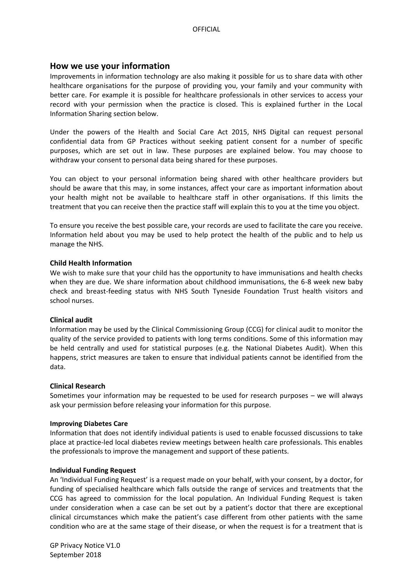## **How we use your information**

Improvements in information technology are also making it possible for us to share data with other healthcare organisations for the purpose of providing you, your family and your community with better care. For example it is possible for healthcare professionals in other services to access your record with your permission when the practice is closed. This is explained further in the Local Information Sharing section below.

Under the powers of the Health and Social Care Act 2015, NHS Digital can request personal confidential data from GP Practices without seeking patient consent for a number of specific purposes, which are set out in law. These purposes are explained below. You may choose to withdraw your consent to personal data being shared for these purposes.

You can object to your personal information being shared with other healthcare providers but should be aware that this may, in some instances, affect your care as important information about your health might not be available to healthcare staff in other organisations. If this limits the treatment that you can receive then the practice staff will explain this to you at the time you object.

To ensure you receive the best possible care, your records are used to facilitate the care you receive. Information held about you may be used to help protect the health of the public and to help us manage the NHS.

## **Child Health Information**

We wish to make sure that your child has the opportunity to have immunisations and health checks when they are due. We share information about childhood immunisations, the 6-8 week new baby check and breast-feeding status with NHS South Tyneside Foundation Trust health visitors and school nurses.

## **Clinical audit**

Information may be used by the Clinical Commissioning Group (CCG) for clinical audit to monitor the quality of the service provided to patients with long terms conditions. Some of this information may be held centrally and used for statistical purposes (e.g. the National Diabetes Audit). When this happens, strict measures are taken to ensure that individual patients cannot be identified from the data.

## **Clinical Research**

Sometimes your information may be requested to be used for research purposes – we will always ask your permission before releasing your information for this purpose.

## **Improving Diabetes Care**

Information that does not identify individual patients is used to enable focussed discussions to take place at practice-led local diabetes review meetings between health care professionals. This enables the professionals to improve the management and support of these patients.

## **Individual Funding Request**

An 'Individual Funding Request' is a request made on your behalf, with your consent, by a doctor, for funding of specialised healthcare which falls outside the range of services and treatments that the CCG has agreed to commission for the local population. An Individual Funding Request is taken under consideration when a case can be set out by a patient's doctor that there are exceptional clinical circumstances which make the patient's case different from other patients with the same condition who are at the same stage of their disease, or when the request is for a treatment that is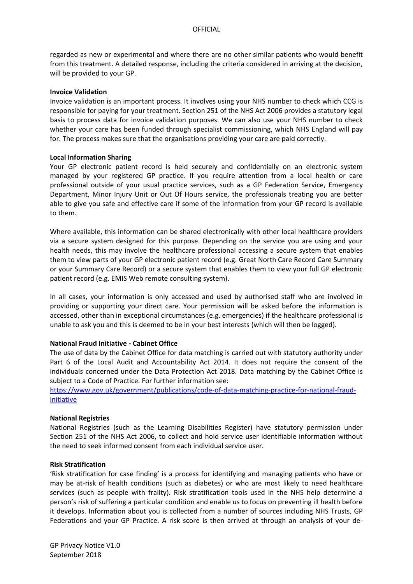regarded as new or experimental and where there are no other similar patients who would benefit from this treatment. A detailed response, including the criteria considered in arriving at the decision, will be provided to your GP.

#### **Invoice Validation**

Invoice validation is an important process. It involves using your NHS number to check which CCG is responsible for paying for your treatment. Section 251 of the NHS Act 2006 provides a statutory legal basis to process data for invoice validation purposes. We can also use your NHS number to check whether your care has been funded through specialist commissioning, which NHS England will pay for. The process makes sure that the organisations providing your care are paid correctly.

## **Local Information Sharing**

Your GP electronic patient record is held securely and confidentially on an electronic system managed by your registered GP practice. If you require attention from a local health or care professional outside of your usual practice services, such as a GP Federation Service, Emergency Department, Minor Injury Unit or Out Of Hours service, the professionals treating you are better able to give you safe and effective care if some of the information from your GP record is available to them.

Where available, this information can be shared electronically with other local healthcare providers via a secure system designed for this purpose. Depending on the service you are using and your health needs, this may involve the healthcare professional accessing a secure system that enables them to view parts of your GP electronic patient record (e.g. Great North Care Record Care Summary or your Summary Care Record) or a secure system that enables them to view your full GP electronic patient record (e.g. EMIS Web remote consulting system).

In all cases, your information is only accessed and used by authorised staff who are involved in providing or supporting your direct care. Your permission will be asked before the information is accessed, other than in exceptional circumstances (e.g. emergencies) if the healthcare professional is unable to ask you and this is deemed to be in your best interests (which will then be logged).

## **National Fraud Initiative - Cabinet Office**

The use of data by the Cabinet Office for data matching is carried out with statutory authority under Part 6 of the Local Audit and Accountability Act 2014. It does not require the consent of the individuals concerned under the Data Protection Act 2018. Data matching by the Cabinet Office is subject to a Code of Practice. For further information see:

[https://www.gov.uk/government/publications/code-of-data-matching-practice-for-national-fraud](https://www.gov.uk/government/publications/code-of-data-matching-practice-for-national-fraud-initiative)[initiative](https://www.gov.uk/government/publications/code-of-data-matching-practice-for-national-fraud-initiative)

#### **National Registries**

National Registries (such as the Learning Disabilities Register) have statutory permission under Section 251 of the NHS Act 2006, to collect and hold service user identifiable information without the need to seek informed consent from each individual service user.

#### **Risk Stratification**

'Risk stratification for case finding' is a process for identifying and managing patients who have or may be at-risk of health conditions (such as diabetes) or who are most likely to need healthcare services (such as people with frailty). Risk stratification tools used in the NHS help determine a person's risk of suffering a particular condition and enable us to focus on preventing ill health before it develops. Information about you is collected from a number of sources including NHS Trusts, GP Federations and your GP Practice. A risk score is then arrived at through an analysis of your de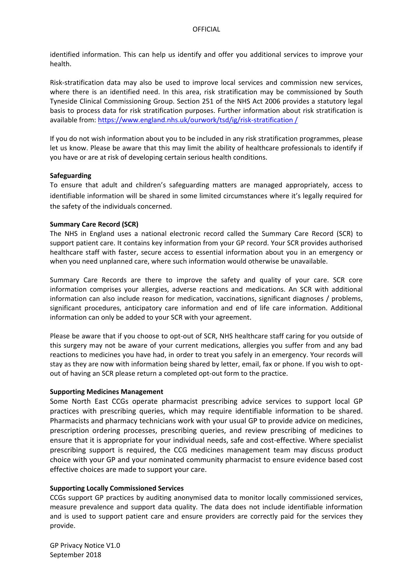identified information. This can help us identify and offer you additional services to improve your health.

Risk-stratification data may also be used to improve local services and commission new services, where there is an identified need. In this area, risk stratification may be commissioned by South Tyneside Clinical Commissioning Group. Section 251 of the NHS Act 2006 provides a statutory legal basis to process data for risk stratification purposes. Further information about risk stratification is available from: [https://www.england.nhs.uk/ourwork/tsd/ig/risk-stratification /](https://www.england.nhs.uk/ourwork/tsd/ig/risk-stratification%20/)

If you do not wish information about you to be included in any risk stratification programmes, please let us know. Please be aware that this may limit the ability of healthcare professionals to identify if you have or are at risk of developing certain serious health conditions.

#### **Safeguarding**

To ensure that adult and children's safeguarding matters are managed appropriately, access to identifiable information will be shared in some limited circumstances where it's legally required for the safety of the individuals concerned.

## **Summary Care Record (SCR)**

The NHS in England uses a national electronic record called the Summary Care Record (SCR) to support patient care. It contains key information from your GP record. Your SCR provides authorised healthcare staff with faster, secure access to essential information about you in an emergency or when you need unplanned care, where such information would otherwise be unavailable.

Summary Care Records are there to improve the safety and quality of your care. SCR core information comprises your allergies, adverse reactions and medications. An SCR with additional information can also include reason for medication, vaccinations, significant diagnoses / problems, significant procedures, anticipatory care information and end of life care information. Additional information can only be added to your SCR with your agreement.

Please be aware that if you choose to opt-out of SCR, NHS healthcare staff caring for you outside of this surgery may not be aware of your current medications, allergies you suffer from and any bad reactions to medicines you have had, in order to treat you safely in an emergency. Your records will stay as they are now with information being shared by letter, email, fax or phone. If you wish to optout of having an SCR please return a completed opt-out form to the practice.

#### **Supporting Medicines Management**

Some North East CCGs operate pharmacist prescribing advice services to support local GP practices with prescribing queries, which may require identifiable information to be shared. Pharmacists and pharmacy technicians work with your usual GP to provide advice on medicines, prescription ordering processes, prescribing queries, and review prescribing of medicines to ensure that it is appropriate for your individual needs, safe and cost-effective. Where specialist prescribing support is required, the CCG medicines management team may discuss product choice with your GP and your nominated community pharmacist to ensure evidence based cost effective choices are made to support your care.

#### **Supporting Locally Commissioned Services**

CCGs support GP practices by auditing anonymised data to monitor locally commissioned services, measure prevalence and support data quality. The data does not include identifiable information and is used to support patient care and ensure providers are correctly paid for the services they provide.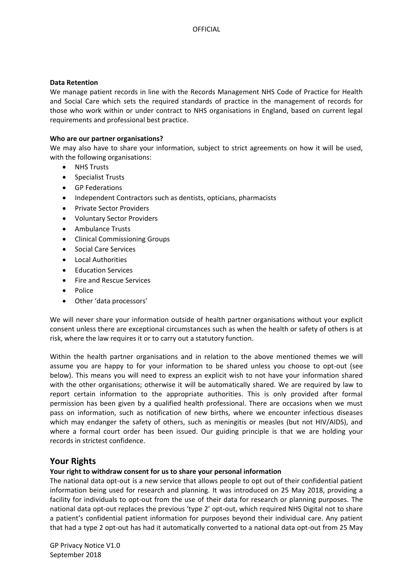## **Data Retention**

We manage patient records in line with the Records Management NHS Code of Practice for Health and Social Care which sets the required standards of practice in the management of records for those who work within or under contract to NHS organisations in England, based on current legal requirements and professional best practice.

## **Who are our partner organisations?**

We may also have to share your information, subject to strict agreements on how it will be used, with the following organisations:

- **NHS Trusts**
- Specialist Trusts
- GP Federations
- Independent Contractors such as dentists, opticians, pharmacists
- Private Sector Providers
- Voluntary Sector Providers
- Ambulance Trusts
- Clinical Commissioning Groups
- Social Care Services
- Local Authorities
- Education Services
- Fire and Rescue Services
- Police
- Other 'data processors'

We will never share your information outside of health partner organisations without your explicit consent unless there are exceptional circumstances such as when the health or safety of others is at risk, where the law requires it or to carry out a statutory function.

Within the health partner organisations and in relation to the above mentioned themes we will assume you are happy to for your information to be shared unless you choose to opt-out (see below). This means you will need to express an explicit wish to not have your information shared with the other organisations; otherwise it will be automatically shared. We are required by law to report certain information to the appropriate authorities. This is only provided after formal permission has been given by a qualified health professional. There are occasions when we must pass on information, such as notification of new births, where we encounter infectious diseases which may endanger the safety of others, such as meningitis or measles (but not HIV/AIDS), and where a formal court order has been issued. Our guiding principle is that we are holding your records in strictest confidence.

# **Your Rights**

## **Your right to withdraw consent for us to share your personal information**

The national data opt-out is a new service that allows people to opt out of their confidential patient information being used for research and planning. It was introduced on 25 May 2018, providing a facility for individuals to opt-out from the use of their data for research or planning purposes. The national data opt-out replaces the previous 'type 2' opt-out, which required NHS Digital not to share a patient's confidential patient information for purposes beyond their individual care. Any patient that had a type 2 opt-out has had it automatically converted to a national data opt-out from 25 May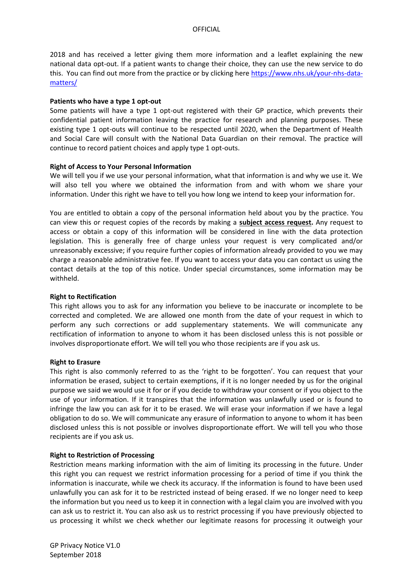2018 and has received a letter giving them more information and a leaflet explaining the new national data opt-out. If a patient wants to change their choice, they can use the new service to do this. You can find out more from the practice or by clicking here [https://www.nhs.uk/your-nhs-data](https://www.nhs.uk/your-nhs-data-matters/)[matters/](https://www.nhs.uk/your-nhs-data-matters/)

#### **Patients who have a type 1 opt-out**

Some patients will have a type 1 opt-out registered with their GP practice, which prevents their confidential patient information leaving the practice for research and planning purposes. These existing type 1 opt-outs will continue to be respected until 2020, when the Department of Health and Social Care will consult with the National Data Guardian on their removal. The practice will continue to record patient choices and apply type 1 opt-outs.

#### **Right of Access to Your Personal Information**

We will tell you if we use your personal information, what that information is and why we use it. We will also tell you where we obtained the information from and with whom we share your information. Under this right we have to tell you how long we intend to keep your information for.

You are entitled to obtain a copy of the personal information held about you by the practice. You can view this or request copies of the records by making a **[subject access request.](https://ico.org.uk/for-the-public/personal-information/)** Any request to access or obtain a copy of this information will be considered in line with the data protection legislation. This is generally free of charge unless your request is very complicated and/or unreasonably excessive; if you require further copies of information already provided to you we may charge a reasonable administrative fee. If you want to access your data you can contact us using the contact details at the top of this notice. Under special circumstances, some information may be withheld.

## **Right to Rectification**

This right allows you to ask for any information you believe to be inaccurate or incomplete to be corrected and completed. We are allowed one month from the date of your request in which to perform any such corrections or add supplementary statements. We will communicate any rectification of information to anyone to whom it has been disclosed unless this is not possible or involves disproportionate effort. We will tell you who those recipients are if you ask us.

#### **Right to Erasure**

This right is also commonly referred to as the 'right to be forgotten'. You can request that your information be erased, subject to certain exemptions, if it is no longer needed by us for the original purpose we said we would use it for or if you decide to withdraw your consent or if you object to the use of your information. If it transpires that the information was unlawfully used or is found to infringe the law you can ask for it to be erased. We will erase your information if we have a legal obligation to do so. We will communicate any erasure of information to anyone to whom it has been disclosed unless this is not possible or involves disproportionate effort. We will tell you who those recipients are if you ask us.

## **Right to Restriction of Processing**

Restriction means marking information with the aim of limiting its processing in the future. Under this right you can request we restrict information processing for a period of time if you think the information is inaccurate, while we check its accuracy. If the information is found to have been used unlawfully you can ask for it to be restricted instead of being erased. If we no longer need to keep the information but you need us to keep it in connection with a legal claim you are involved with you can ask us to restrict it. You can also ask us to restrict processing if you have previously objected to us processing it whilst we check whether our legitimate reasons for processing it outweigh your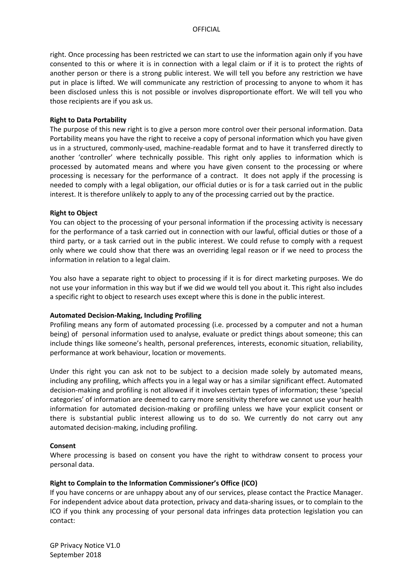right. Once processing has been restricted we can start to use the information again only if you have consented to this or where it is in connection with a legal claim or if it is to protect the rights of another person or there is a strong public interest. We will tell you before any restriction we have put in place is lifted. We will communicate any restriction of processing to anyone to whom it has been disclosed unless this is not possible or involves disproportionate effort. We will tell you who those recipients are if you ask us.

#### **Right to Data Portability**

The purpose of this new right is to give a person more control over their personal information. Data Portability means you have the right to receive a copy of personal information which you have given us in a structured, commonly-used, machine-readable format and to have it transferred directly to another 'controller' where technically possible. This right only applies to information which is processed by automated means and where you have given consent to the processing or where processing is necessary for the performance of a contract. It does not apply if the processing is needed to comply with a legal obligation, our official duties or is for a task carried out in the public interest. It is therefore unlikely to apply to any of the processing carried out by the practice.

#### **Right to Object**

You can object to the processing of your personal information if the processing activity is necessary for the performance of a task carried out in connection with our lawful, official duties or those of a third party, or a task carried out in the public interest. We could refuse to comply with a request only where we could show that there was an overriding legal reason or if we need to process the information in relation to a legal claim.

You also have a separate right to object to processing if it is for direct marketing purposes. We do not use your information in this way but if we did we would tell you about it. This right also includes a specific right to object to research uses except where this is done in the public interest.

## **Automated Decision-Making, Including Profiling**

Profiling means any form of automated processing (i.e. processed by a computer and not a human being) of personal information used to analyse, evaluate or predict things about someone; this can include things like someone's health, personal preferences, interests, economic situation, reliability, performance at work behaviour, location or movements.

Under this right you can ask not to be subject to a decision made solely by automated means, including any profiling, which affects you in a legal way or has a similar significant effect. Automated decision-making and profiling is not allowed if it involves certain types of information; these 'special categories' of information are deemed to carry more sensitivity therefore we cannot use your health information for automated decision-making or profiling unless we have your explicit consent or there is substantial public interest allowing us to do so. We currently do not carry out any automated decision-making, including profiling.

## **Consent**

Where processing is based on consent you have the right to withdraw consent to process your personal data.

#### **Right to Complain to the Information Commissioner's Office (ICO)**

If you have concerns or are unhappy about any of our services, please contact the Practice Manager. For independent advice about data protection, privacy and data-sharing issues, or to complain to the ICO if you think any processing of your personal data infringes data protection legislation you can contact: